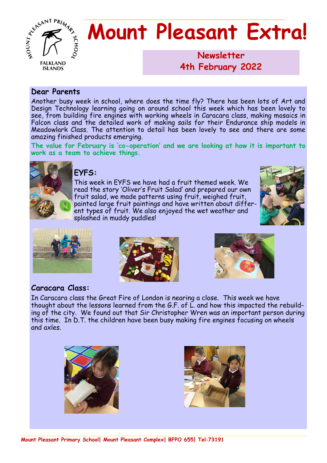

# **Mount Pleasant Extra!**

**Newsletter 1986 4th February 2022**

#### **Dear Parents**

Another busy week in school, where does the time fly? There has been lots of Art and Design Technology learning going on around school this week which has been lovely to see, from building fire engines with working wheels in Caracara class, making mosaics in Falcon class and the detailed work of making sails for their Endurance ship models in Meadowlark Class. The attention to detail has been lovely to see and there are some amazing finished products emerging.

**The value for February is 'co-operation' and we are looking at how it is important to work as a team to achieve things.**



#### **EYFS:**

This week in EYFS we have had a fruit themed week. We read the story 'Oliver's Fruit Salad' and prepared our own fruit salad, we made patterns using fruit, weighed fruit, painted large fruit paintings and have written about different types of fruit. We also enjoyed the wet weather and splashed in muddy puddles!









## **Caracara Class:**

In Caracara class the Great Fire of London is nearing a close. This week we have thought about the lessons learned from the G.F. of L. and how this impacted the rebuilding of the city. We found out that Sir Christopher Wren was an important person during this time. In D.T. the children have been busy making fire engines focusing on wheels and axles.



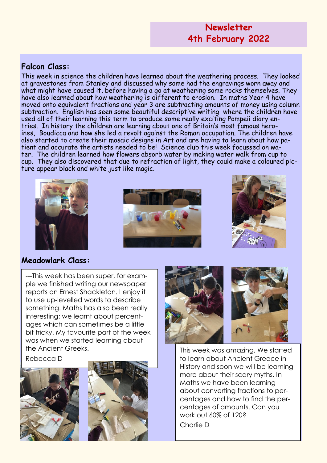## **Newsletter 4th February 2022**

## **Falcon Class:**

This week in science the children have learned about the weathering process. They looked at gravestones from Stanley and discussed why some had the engravings worn away and what might have caused it, before having a go at weathering some rocks themselves. They have also learned about how weathering is different to erosion. In maths Year 4 have moved onto equivalent fractions and year 3 are subtracting amounts of money using column subtraction. English has seen some beautiful descriptive writing where the children have used all of their learning this term to produce some really exciting Pompeii diary entries. In history the children are learning about one of Britain's most famous heroines, Boudicca and how she led a revolt against the Roman occupation. The children have also started to create their mosaic designs in Art and are having to learn about how patient and accurate the artists needed to be! Science club this week focussed on water. The children learned how flowers absorb water by making water walk from cup to cup. They also discovered that due to refraction of light, they could make a coloured picture appear black and white just like magic.







## **Meadowlark Class:**

---This week has been super, for example we finished writing our newspaper reports on Ernest Shackleton. I enjoy it to use up-levelled words to describe something. Maths has also been really interesting; we learnt about percentages which can sometimes be a little bit tricky. My favourite part of the week was when we started learning about the Ancient Greeks.

Rebecca D







This week was amazing. We started to learn about Ancient Greece in History and soon we will be learning more about their scary myths. In Maths we have been learning about converting fractions to percentages and how to find the percentages of amounts. Can you work out 60% of 120? Charlie D